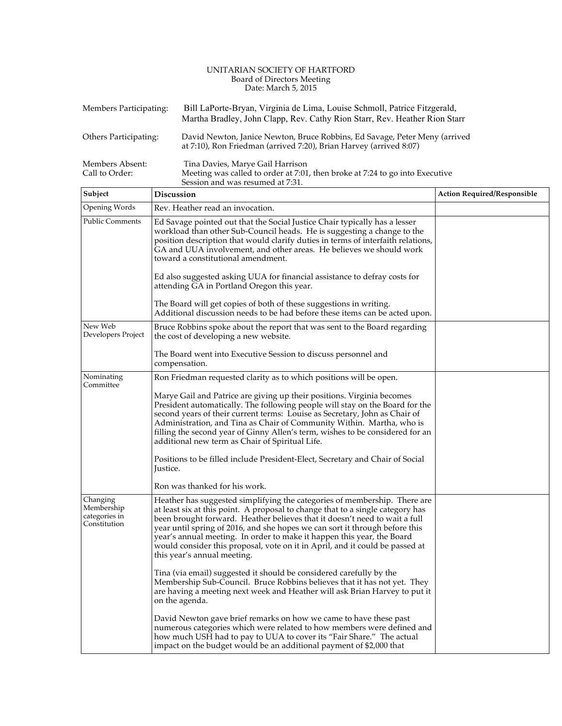#### UNITARIAN SOCIETY OF HARTFORD Board of Directors Meeting Date: March 5, 2015

| Members Participating:            | Bill LaPorte-Bryan, Virginia de Lima, Louise Schmoll, Patrice Fitzgerald,<br>Martha Bradley, John Clapp, Rev. Cathy Rion Starr, Rev. Heather Rion Starr |
|-----------------------------------|---------------------------------------------------------------------------------------------------------------------------------------------------------|
| Others Participating:             | David Newton, Janice Newton, Bruce Robbins, Ed Savage, Peter Meny (arrived<br>at 7:10), Ron Friedman (arrived 7:20), Brian Harvey (arrived 8:07)        |
| Members Absent:<br>Call to Order: | Tina Davies, Marye Gail Harrison<br>Meeting was called to order at 7:01, then broke at 7:24 to go into Executive                                        |

| Subject                                                 | <b>Discussion</b>                                                                                                                                                                                                                                                                                                                                                                                                                                                                                                 | <b>Action Required/Responsible</b> |
|---------------------------------------------------------|-------------------------------------------------------------------------------------------------------------------------------------------------------------------------------------------------------------------------------------------------------------------------------------------------------------------------------------------------------------------------------------------------------------------------------------------------------------------------------------------------------------------|------------------------------------|
| Opening Words                                           | Rev. Heather read an invocation.                                                                                                                                                                                                                                                                                                                                                                                                                                                                                  |                                    |
| <b>Public Comments</b>                                  | Ed Savage pointed out that the Social Justice Chair typically has a lesser<br>workload than other Sub-Council heads. He is suggesting a change to the<br>position description that would clarify duties in terms of interfaith relations,<br>GA and UUA involvement, and other areas. He believes we should work<br>toward a constitutional amendment.                                                                                                                                                            |                                    |
|                                                         | Ed also suggested asking UUA for financial assistance to defray costs for<br>attending GA in Portland Oregon this year.                                                                                                                                                                                                                                                                                                                                                                                           |                                    |
|                                                         | The Board will get copies of both of these suggestions in writing.<br>Additional discussion needs to be had before these items can be acted upon.                                                                                                                                                                                                                                                                                                                                                                 |                                    |
| New Web<br>Developers Project                           | Bruce Robbins spoke about the report that was sent to the Board regarding<br>the cost of developing a new website.                                                                                                                                                                                                                                                                                                                                                                                                |                                    |
|                                                         | The Board went into Executive Session to discuss personnel and<br>compensation.                                                                                                                                                                                                                                                                                                                                                                                                                                   |                                    |
| Nominating<br>Committee                                 | Ron Friedman requested clarity as to which positions will be open.                                                                                                                                                                                                                                                                                                                                                                                                                                                |                                    |
|                                                         | Marye Gail and Patrice are giving up their positions. Virginia becomes<br>President automatically. The following people will stay on the Board for the<br>second years of their current terms: Louise as Secretary, John as Chair of<br>Administration, and Tina as Chair of Community Within. Martha, who is<br>filling the second year of Ginny Allen's term, wishes to be considered for an<br>additional new term as Chair of Spiritual Life.                                                                 |                                    |
|                                                         | Positions to be filled include President-Elect, Secretary and Chair of Social<br>Justice.                                                                                                                                                                                                                                                                                                                                                                                                                         |                                    |
|                                                         | Ron was thanked for his work.                                                                                                                                                                                                                                                                                                                                                                                                                                                                                     |                                    |
| Changing<br>Membership<br>categories in<br>Constitution | Heather has suggested simplifying the categories of membership. There are<br>at least six at this point. A proposal to change that to a single category has<br>been brought forward. Heather believes that it doesn't need to wait a full<br>year until spring of 2016, and she hopes we can sort it through before this<br>year's annual meeting. In order to make it happen this year, the Board<br>would consider this proposal, vote on it in April, and it could be passed at<br>this year's annual meeting. |                                    |
|                                                         | Tina (via email) suggested it should be considered carefully by the<br>Membership Sub-Council. Bruce Robbins believes that it has not yet. They<br>are having a meeting next week and Heather will ask Brian Harvey to put it<br>on the agenda.                                                                                                                                                                                                                                                                   |                                    |
|                                                         | David Newton gave brief remarks on how we came to have these past<br>numerous categories which were related to how members were defined and<br>how much USH had to pay to UUA to cover its "Fair Share." The actual<br>impact on the budget would be an additional payment of \$2,000 that                                                                                                                                                                                                                        |                                    |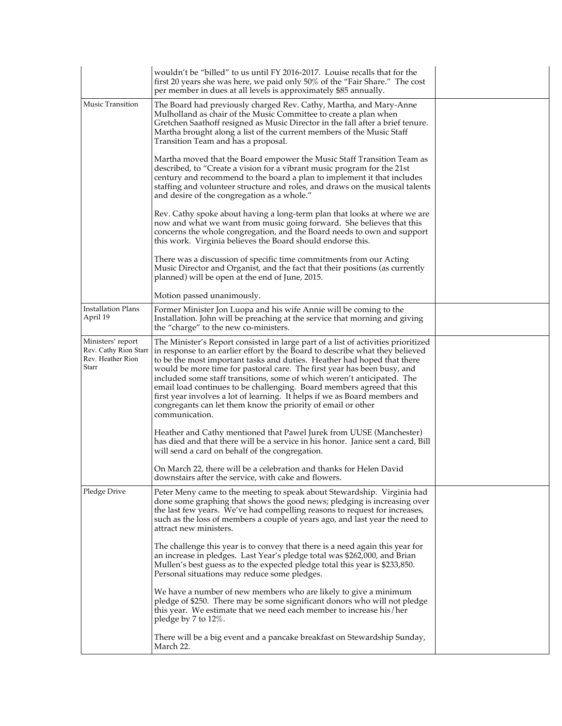|                                                                          | wouldn't be "billed" to us until FY 2016-2017. Louise recalls that for the<br>first 20 years she was here, we paid only 50% of the "Fair Share." The cost<br>per member in dues at all levels is approximately \$85 annually.                                                                                                                                                                                                                                                                                                                                                                                                                |  |
|--------------------------------------------------------------------------|----------------------------------------------------------------------------------------------------------------------------------------------------------------------------------------------------------------------------------------------------------------------------------------------------------------------------------------------------------------------------------------------------------------------------------------------------------------------------------------------------------------------------------------------------------------------------------------------------------------------------------------------|--|
| Music Transition                                                         | The Board had previously charged Rev. Cathy, Martha, and Mary-Anne<br>Mulholland as chair of the Music Committee to create a plan when<br>Gretchen Saathoff resigned as Music Director in the fall after a brief tenure.<br>Martha brought along a list of the current members of the Music Staff<br>Transition Team and has a proposal.                                                                                                                                                                                                                                                                                                     |  |
|                                                                          | Martha moved that the Board empower the Music Staff Transition Team as<br>described, to "Create a vision for a vibrant music program for the 21st<br>century and recommend to the board a plan to implement it that includes<br>staffing and volunteer structure and roles, and draws on the musical talents<br>and desire of the congregation as a whole."                                                                                                                                                                                                                                                                                  |  |
|                                                                          | Rev. Cathy spoke about having a long-term plan that looks at where we are<br>now and what we want from music going forward. She believes that this<br>concerns the whole congregation, and the Board needs to own and support<br>this work. Virginia believes the Board should endorse this.                                                                                                                                                                                                                                                                                                                                                 |  |
|                                                                          | There was a discussion of specific time commitments from our Acting<br>Music Director and Organist, and the fact that their positions (as currently<br>planned) will be open at the end of June, 2015.                                                                                                                                                                                                                                                                                                                                                                                                                                       |  |
|                                                                          | Motion passed unanimously.                                                                                                                                                                                                                                                                                                                                                                                                                                                                                                                                                                                                                   |  |
| <b>Installation Plans</b><br>April 19                                    | Former Minister Jon Luopa and his wife Annie will be coming to the<br>Installation. John will be preaching at the service that morning and giving<br>the "charge" to the new co-ministers.                                                                                                                                                                                                                                                                                                                                                                                                                                                   |  |
| Ministers' report<br>Rev. Cathy Rion Starr<br>Rev. Heather Rion<br>Starr | The Minister's Report consisted in large part of a list of activities prioritized<br>in response to an earlier effort by the Board to describe what they believed<br>to be the most important tasks and duties. Heather had hoped that there<br>would be more time for pastoral care. The first year has been busy, and<br>included some staff transitions, some of which weren't anticipated. The<br>email load continues to be challenging. Board members agreed that this<br>first year involves a lot of learning. It helps if we as Board members and<br>congregants can let them know the priority of email or other<br>communication. |  |
|                                                                          | Heather and Cathy mentioned that Pawel Jurek from UUSE (Manchester)<br>has died and that there will be a service in his honor. Janice sent a card, Bill<br>will send a card on behalf of the congregation.                                                                                                                                                                                                                                                                                                                                                                                                                                   |  |
|                                                                          | On March 22, there will be a celebration and thanks for Helen David<br>downstairs after the service, with cake and flowers.                                                                                                                                                                                                                                                                                                                                                                                                                                                                                                                  |  |
| Pledge Drive                                                             | Peter Meny came to the meeting to speak about Stewardship. Virginia had<br>done some graphing that shows the good news; pledging is increasing over<br>the last few years. We've had compelling reasons to request for increases,<br>such as the loss of members a couple of years ago, and last year the need to<br>attract new ministers.                                                                                                                                                                                                                                                                                                  |  |
|                                                                          | The challenge this year is to convey that there is a need again this year for<br>an increase in pledges. Last Year's pledge total was \$262,000, and Brian<br>Mullen's best guess as to the expected pledge total this year is \$233,850.<br>Personal situations may reduce some pledges.                                                                                                                                                                                                                                                                                                                                                    |  |
|                                                                          | We have a number of new members who are likely to give a minimum<br>pledge of \$250. There may be some significant donors who will not pledge<br>this year. We estimate that we need each member to increase his/her<br>pledge by 7 to 12%.                                                                                                                                                                                                                                                                                                                                                                                                  |  |
|                                                                          | There will be a big event and a pancake breakfast on Stewardship Sunday,<br>March 22.                                                                                                                                                                                                                                                                                                                                                                                                                                                                                                                                                        |  |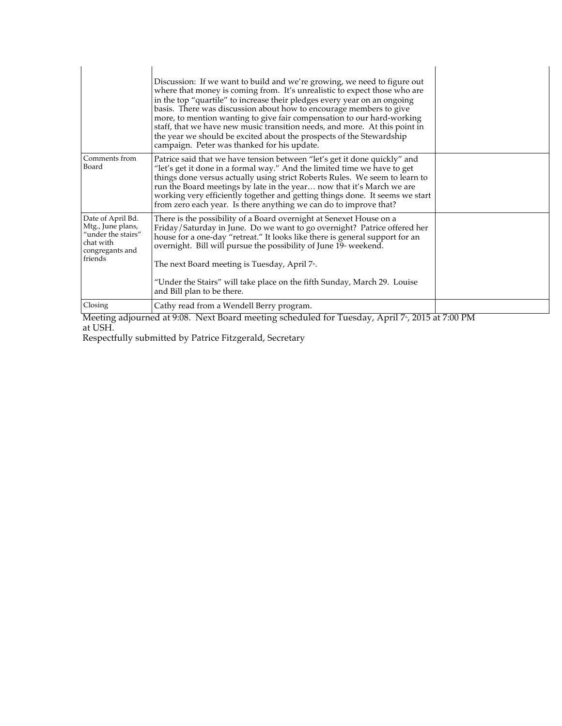|                                                                                                         | Discussion: If we want to build and we're growing, we need to figure out<br>where that money is coming from. It's unrealistic to expect those who are<br>in the top "quartile" to increase their pledges every year on an ongoing<br>basis. There was discussion about how to encourage members to give<br>more, to mention wanting to give fair compensation to our hard-working<br>staff, that we have new music transition needs, and more. At this point in<br>the year we should be excited about the prospects of the Stewardship<br>campaign. Peter was thanked for his update. |                 |
|---------------------------------------------------------------------------------------------------------|----------------------------------------------------------------------------------------------------------------------------------------------------------------------------------------------------------------------------------------------------------------------------------------------------------------------------------------------------------------------------------------------------------------------------------------------------------------------------------------------------------------------------------------------------------------------------------------|-----------------|
| Comments from<br>Board                                                                                  | Patrice said that we have tension between "let's get it done quickly" and<br>"let's get it done in a formal way." And the limited time we have to get<br>things done versus actually using strict Roberts Rules. We seem to learn to<br>run the Board meetings by late in the year now that it's March we are<br>working very efficiently together and getting things done. It seems we start<br>from zero each year. Is there anything we can do to improve that?                                                                                                                     |                 |
| Date of April Bd.<br>Mtg., June plans,<br>"under the stairs"<br>chat with<br>congregants and<br>friends | There is the possibility of a Board overnight at Senexet House on a<br>Friday/Saturday in June. Do we want to go overnight? Patrice offered her<br>house for a one-day "retreat." It looks like there is general support for an<br>overnight. Bill will pursue the possibility of June 19 <sup>th</sup> weekend.<br>The next Board meeting is Tuesday, April 7 <sup>th</sup> .<br>"Under the Stairs" will take place on the fifth Sunday, March 29. Louise<br>and Bill plan to be there.                                                                                               |                 |
| Closing                                                                                                 | Cathy read from a Wendell Berry program.                                                                                                                                                                                                                                                                                                                                                                                                                                                                                                                                               |                 |
|                                                                                                         | $\overline{1}$ $\overline{0}$ $\overline{0}$ $\overline{1}$ $\overline{1}$ $\overline{1}$ $\overline{1}$                                                                                                                                                                                                                                                                                                                                                                                                                                                                               | $0.047 + 0.071$ |

Meeting adjourned at 9:08. Next Board meeting scheduled for Tuesday, April 7<sup>th</sup>, 2015 at 7:00 PM at USH.

Respectfully submitted by Patrice Fitzgerald, Secretary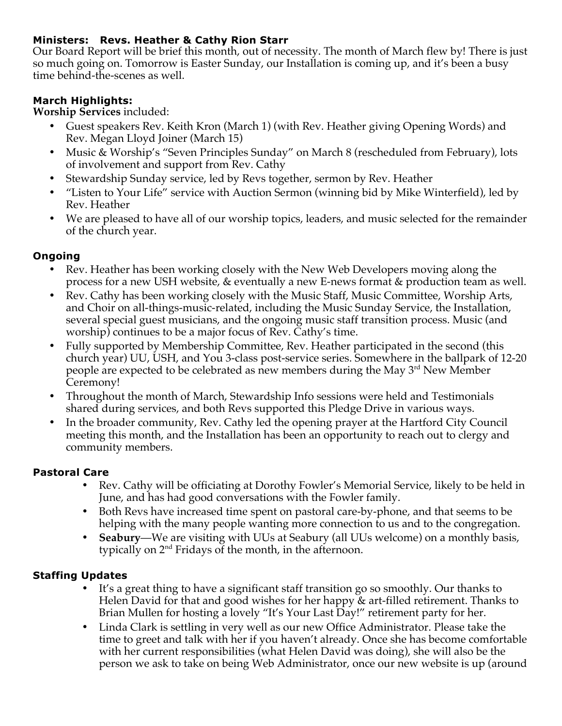### **Ministers: Revs. Heather & Cathy Rion Starr**

Our Board Report will be brief this month, out of necessity. The month of March flew by! There is just so much going on. Tomorrow is Easter Sunday, our Installation is coming up, and it's been a busy time behind-the-scenes as well.

### **March Highlights:**

**Worship Services** included:

- Guest speakers Rev. Keith Kron (March 1) (with Rev. Heather giving Opening Words) and Rev. Megan Lloyd Joiner (March 15)
- Music & Worship's "Seven Principles Sunday" on March 8 (rescheduled from February), lots of involvement and support from Rev. Cathy
- Stewardship Sunday service, led by Revs together, sermon by Rev. Heather
- "Listen to Your Life" service with Auction Sermon (winning bid by Mike Winterfield), led by Rev. Heather
- We are pleased to have all of our worship topics, leaders, and music selected for the remainder of the church year.

### **Ongoing**

- Rev. Heather has been working closely with the New Web Developers moving along the process for a new USH website, & eventually a new E-news format & production team as well.
- Rev. Cathy has been working closely with the Music Staff, Music Committee, Worship Arts, and Choir on all-things-music-related, including the Music Sunday Service, the Installation, several special guest musicians, and the ongoing music staff transition process. Music (and worship) continues to be a major focus of Rev. Cathy's time.
- Fully supported by Membership Committee, Rev. Heather participated in the second (this church year) UU, USH, and You 3-class post-service series. Somewhere in the ballpark of 12-20 people are expected to be celebrated as new members during the May  $3<sup>rd</sup>$  New Member Ceremony!
- Throughout the month of March, Stewardship Info sessions were held and Testimonials shared during services, and both Revs supported this Pledge Drive in various ways.
- In the broader community, Rev. Cathy led the opening prayer at the Hartford City Council meeting this month, and the Installation has been an opportunity to reach out to clergy and community members.

### **Pastoral Care**

- Rev. Cathy will be officiating at Dorothy Fowler's Memorial Service, likely to be held in June, and has had good conversations with the Fowler family.
- Both Revs have increased time spent on pastoral care-by-phone, and that seems to be helping with the many people wanting more connection to us and to the congregation.
- **Seabury**—We are visiting with UUs at Seabury (all UUs welcome) on a monthly basis, typically on 2nd Fridays of the month, in the afternoon.

### **Staffing Updates**

- It's a great thing to have a significant staff transition go so smoothly. Our thanks to Helen David for that and good wishes for her happy & art-filled retirement. Thanks to Brian Mullen for hosting a lovely "It's Your Last Day!" retirement party for her.
- Linda Clark is settling in very well as our new Office Administrator. Please take the time to greet and talk with her if you haven't already. Once she has become comfortable with her current responsibilities (what Helen David was doing), she will also be the person we ask to take on being Web Administrator, once our new website is up (around